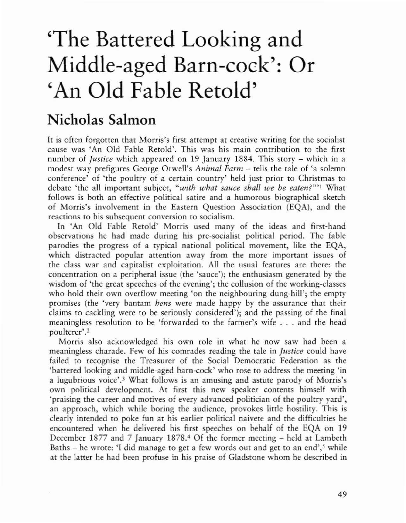## 'The Battered Looking and Middle-aged Barn-cock': Or 'An Old Fable Retold'

## Nicholas Salmon

It is often forgotten that Morris's first attempt at creative writing for the socialist cause was 'An Old Fable Retold'. This was his main contribution to the first number of *Justice* which appeared on 19 January 1884. This story – which in a modest way prefigures George Orwell's *Animal Farm* - tells the talc of 'a solemn conference' of 'the poultry of a cerrain country' held just prior to Christmas to debate 'the all imporrant subject, *"with what sauce shall we be eaten?"'l* What follows is both an effective political satire and a humorous biographical sketch of Morris's involvement in the Eastern Question Association (EQA), and the reactions to his subsequent conversion to socialism.

In 'An Old Fable Retold' Morris used many of the ideas and first-hand observations he had made during his pee-socialist political period. The fable parodies the progress of a typical national political movement, like the EQA, which distracted popular attention away from the more important issues of the class war and capitalist exploitation. All rhe usual features are there: the concentration on a peripheral issue (the 'sauce'); the enthusiasm generated by the wisdom of 'the great speeches of the evening'; the collusion of the working-classes who hold their own overflow meeting 'on the neighbouring dung·hill'; the empty promises (the 'very bantam *hens* were made happy by the assurance that their claims to cackling were to be seriously considered'); and the passing of the final meaningless resolution to be 'forwarded co the farmer's wife ... and the head poulterer'.<sup>2</sup>

Morris also acknowledged his own role in what he now saw had been a meaningless charade. Few of his comrades reading the tale in *Justice* could have failed to recognise the Treasurer of the Social Democratic Federation as the 'battered looking and middle-aged barn-cock' who rose to address the meeting 'in a lugubrious voice'.<sup>3</sup> What follows is an amusing and astute parody of Morris's own political development. At first this new speaker contents himself with 'praising the career and motives of every advanced politician of the poultry yard', an approach, which while boring the audience, provokes little hostility. This is clearly intended to poke fun at his earlier political naivete and the difficulties he encountered when he delivered his first speeches on behalf of the EQA on 19 December 1877 and 7 January 1878.<sup>4</sup> Of the former meeting - held at Lambeth Baths – he wrote: 'I did manage to get a few words out and get to an end',<sup>5</sup> while at the latter he had been profuse in his praise of Gladsrone whom he described in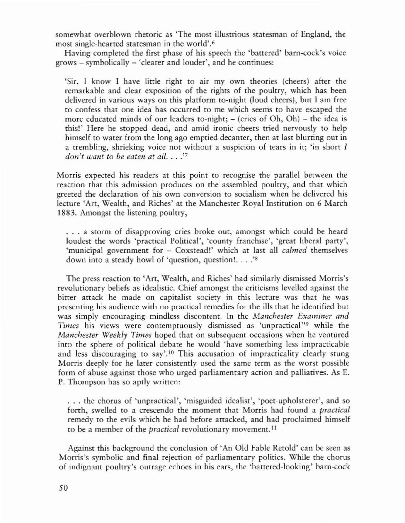somewhat overblown rhetoric as 'The most illustrious statesman of England, the most single·hearted statesman in the world'.6

Having completed the first phase of his speech the 'battered' barn-cock's voice grows - symbolically - 'clearer and louder', and he continues:

'Sir, I know I have little right to air my own theories (cheers) after the remarkable and clear exposition of the rights of the poultry, which has been delivered in various ways on this platform to-night (loud cheers), but I am free to confess that one idea has occurred to me which seems to have escaped the more educated minds of our leaders to-night;  $-$  (cries of Oh, Oh)  $-$  the idea is this!' Here he stopped dead, and amid ironic cheers tried nervously to help himself to water from the long ago emptied decanter, then at last blurting out in a trembling, shrieking voice not without a suspicion of tears in it; 'in short I *don't want to be eaten at all.* ...'7

Morris expected his readers at this point to recognise the parallel between the reaction that this admission produces on the assembled poultry, and that which greeted the declaration of his own conversion to socialism when he delivered his lecture 'Art, Wealth, and Riches' at the Manchester Royal Institution on 6 March 1883. Amongst the listening poultry,

... a storm of disapproving cries broke out, amongst which could be heard loudest the words 'practical Political', 'county franchise', 'great liberal parry', 'municipal government for - Coxstead!' which at last all *calmed* themselves down into <sup>a</sup> steady howl of 'question, question!... .'8

The press reaction to 'Art, Wealth, and Riches' had similarly dismissed Morris's revolutionary beliefs as idealistic. Chief amongst the criticisms levelled against the bitter attack he made on capitalist society in this lecture was that he was presenting his audience with no practical remedies for the ills that he identified bur was simply encouraging mindless discontent. In the *Manchester Examiner and* Times his views were contemptuously dismissed as 'unpractical'<sup>19</sup> while the *Manchester Weekly Times* hoped that on subsequent occasions when he ventured into the sphere of political debate he would 'have something less impracticable and less discouraging to say'.10 This accusation of impracticality clearly stung Morris deeply for he later consistently used the same term as the worst possible form of abuse against those who urged parliamentary action and palliatives. As E. P. Thompson has so aptly written:

... the chorus of 'unpractical', 'misguided idealist', 'poet-upholsterer', and so forth, swelled to a crescendo the moment that Morris had found a *practical* remedy to the evils which he had before attacked, and had proclaimed himself to be a member of the *practical* revolutionary movement. <sup>11</sup>

Against this background the conclusion of 'An Old Fable Retold' can be seen as Morris's symbolic and final rejection of parliamentary politics. While the chorus of indignant poultry's outrage echoes in his cars, the 'battered-looking' barn-cock